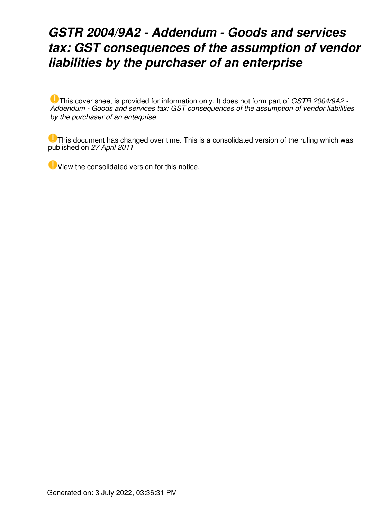### *GSTR 2004/9A2 - Addendum - Goods and services tax: GST consequences of the assumption of vendor liabilities by the purchaser of an enterprise*

This cover sheet is provided for information only. It does not form part of *GSTR 2004/9A2 - Addendum - Goods and services tax: GST consequences of the assumption of vendor liabilities by the purchaser of an enterprise*

This document has changed over time. This is a consolidated version of the ruling which was published on *27 April 2011*

View the [consolidated version](https://www.ato.gov.au/law/view/document?DocID=%22GST%2FGSTR20049%2FNAT%2FATO%2F00001%22&PiT=20110427000001) for this notice.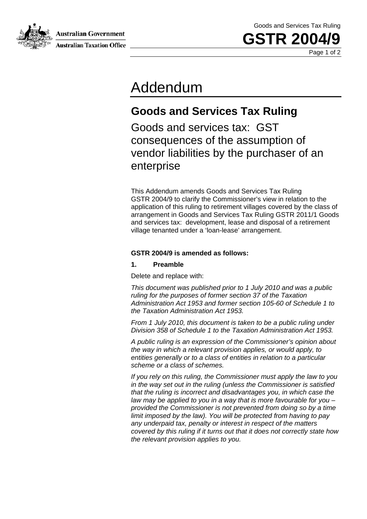Australian Government

Goods and Services Tax Ruling

**GSTR 2004** 

Page 1 of 2

## Addendum

### **Goods and Services Tax Ruling**

Goods and services tax: GST consequences of the assumption of vendor liabilities by the purchaser of an enterprise

This Addendum amends Goods and Services Tax Ruling GSTR 2004/9 to clarify the Commissioner's view in relation to the application of this ruling to retirement villages covered by the class of arrangement in Goods and Services Tax Ruling GSTR 2011/1 Goods and services tax: development, lease and disposal of a retirement village tenanted under a 'loan-lease' arrangement.

#### **GSTR 2004/9 is amended as follows:**

#### **1. Preamble**

Delete and replace with:

*This document was published prior to 1 July 2010 and was a public ruling for the purposes of former section 37 of the Taxation Administration Act 1953 and former section 105-60 of Schedule 1 to the Taxation Administration Act 1953.* 

*From 1 July 2010, this document is taken to be a public ruling under Division 358 of Schedule 1 to the Taxation Administration Act 1953.* 

*A public ruling is an expression of the Commissioner's opinion about the way in which a relevant provision applies, or would apply, to entities generally or to a class of entities in relation to a particular scheme or a class of schemes.* 

*If you rely on this ruling, the Commissioner must apply the law to you in the way set out in the ruling (unless the Commissioner is satisfied that the ruling is incorrect and disadvantages you, in which case the law may be applied to you in a way that is more favourable for you – provided the Commissioner is not prevented from doing so by a time limit imposed by the law). You will be protected from having to pay any underpaid tax, penalty or interest in respect of the matters covered by this ruling if it turns out that it does not correctly state how the relevant provision applies to you.*



**Australian Taxation Office**